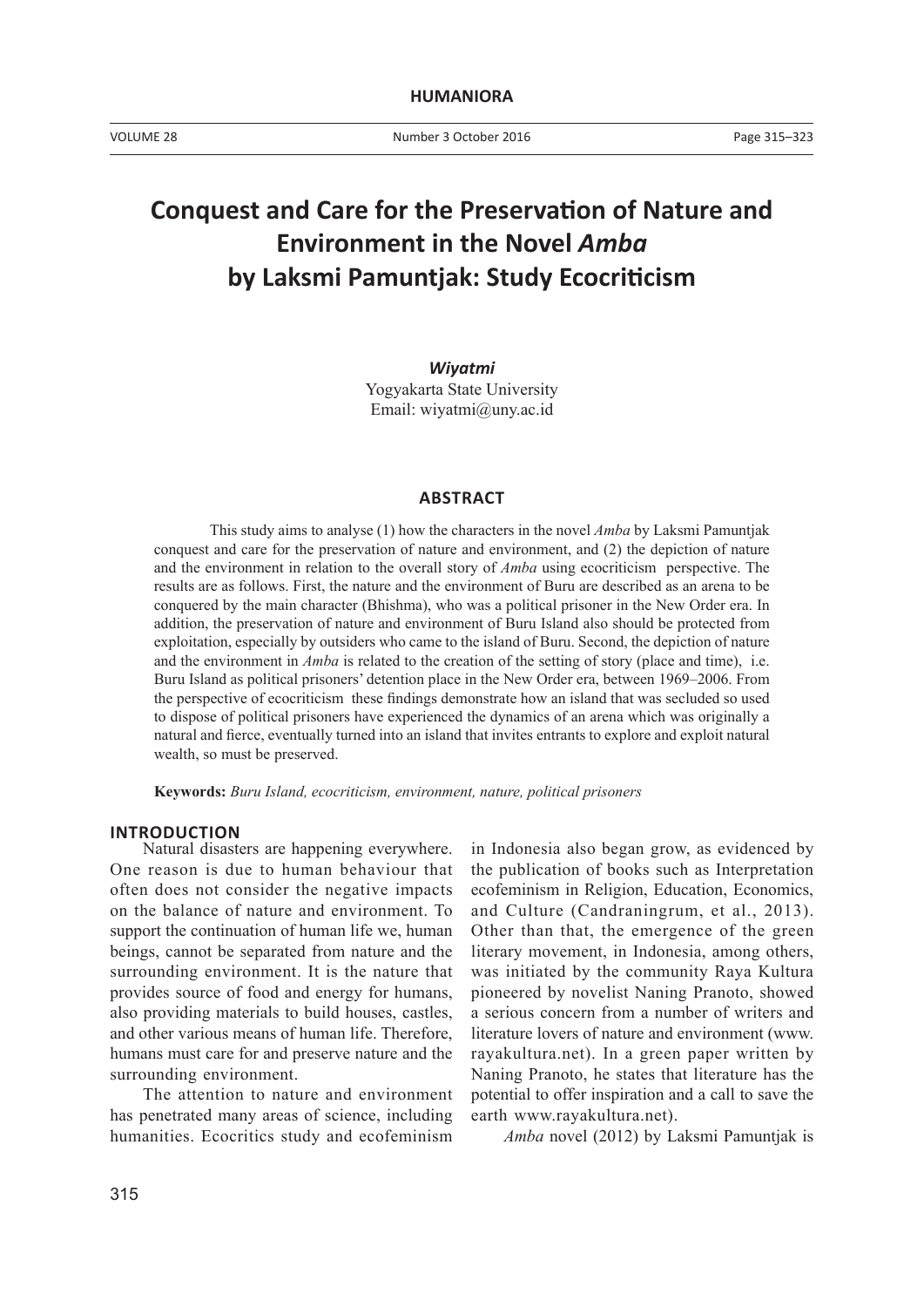# **Conquest and Care for the Preservation of Nature and Environment in the Novel** *Amba* **by Laksmi Pamuntjak: Study Ecocriticism**

*Wiyatmi* Yogyakarta State University Email: wiyatmi@uny.ac.id

## **ABSTRACT**

This study aims to analyse (1) how the characters in the novel *Amba* by Laksmi Pamuntjak conquest and care for the preservation of nature and environment, and (2) the depiction of nature and the environment in relation to the overall story of *Amba* using ecocriticism perspective. The results are as follows. First, the nature and the environment of Buru are described as an arena to be conquered by the main character (Bhishma), who was a political prisoner in the New Order era. In addition, the preservation of nature and environment of Buru Island also should be protected from exploitation, especially by outsiders who came to the island of Buru. Second, the depiction of nature and the environment in *Amba* is related to the creation of the setting of story (place and time), i.e. Buru Island as political prisoners' detention place in the New Order era, between 1969–2006. From the perspective of ecocriticism these findings demonstrate how an island that was secluded so used to dispose of political prisoners have experienced the dynamics of an arena which was originally a natural and fierce, eventually turned into an island that invites entrants to explore and exploit natural wealth, so must be preserved.

**Keywords:** *Buru Island, ecocriticism, environment, nature, political prisoners*

#### **INTRODUCTION**

Natural disasters are happening everywhere. One reason is due to human behaviour that often does not consider the negative impacts on the balance of nature and environment. To support the continuation of human life we, human beings, cannot be separated from nature and the surrounding environment. It is the nature that provides source of food and energy for humans, also providing materials to build houses, castles, and other various means of human life. Therefore, humans must care for and preserve nature and the surrounding environment.

The attention to nature and environment has penetrated many areas of science, including humanities. Ecocritics study and ecofeminism

in Indonesia also began grow, as evidenced by the publication of books such as Interpretation ecofeminism in Religion, Education, Economics, and Culture (Candraningrum, et al., 2013). Other than that, the emergence of the green literary movement, in Indonesia, among others, was initiated by the community Raya Kultura pioneered by novelist Naning Pranoto, showed a serious concern from a number of writers and literature lovers of nature and environment (www. rayakultura.net). In a green paper written by Naning Pranoto, he states that literature has the potential to offer inspiration and a call to save the earth www.rayakultura.net).

*Amba* novel (2012) by Laksmi Pamuntjak is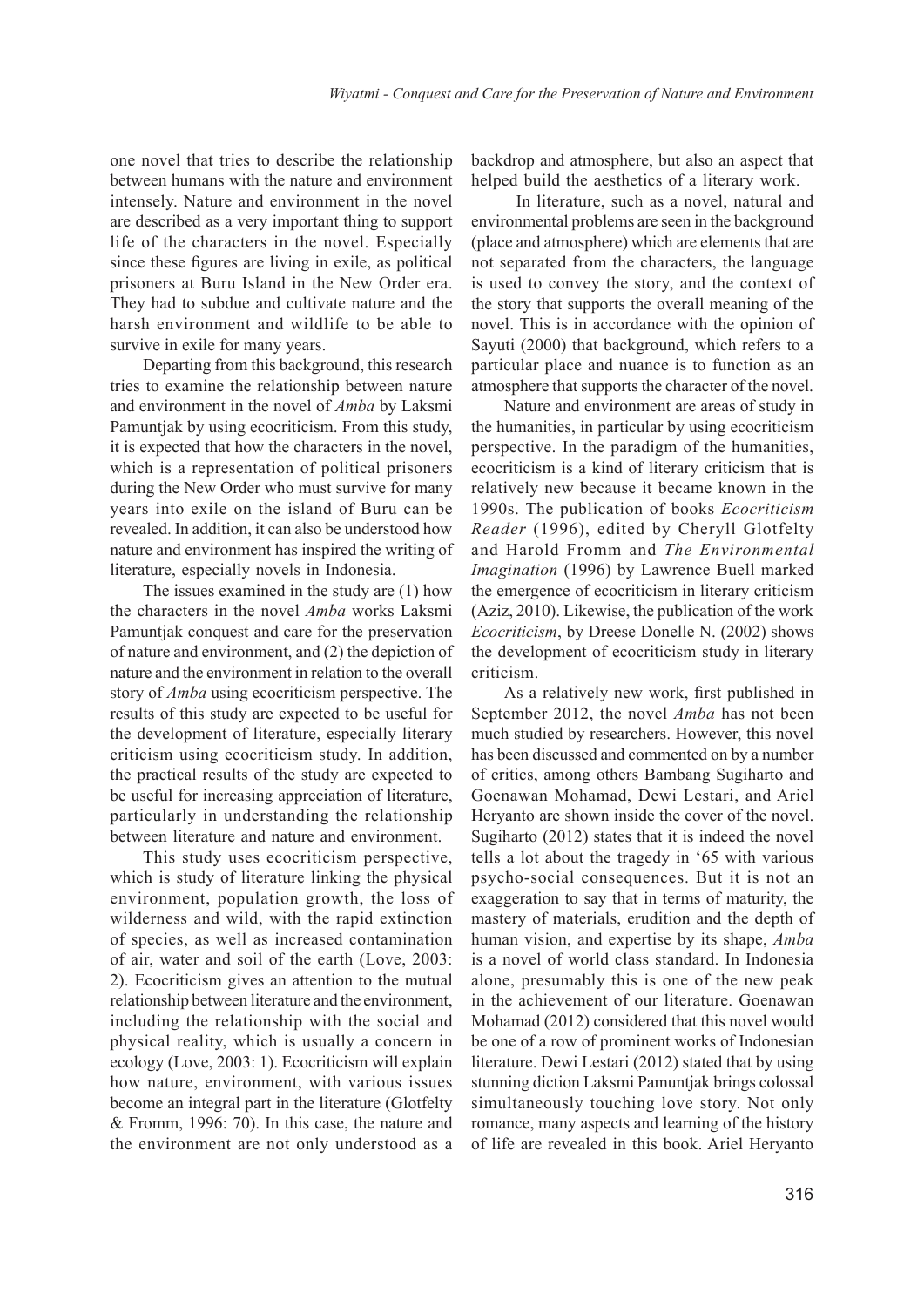one novel that tries to describe the relationship between humans with the nature and environment intensely. Nature and environment in the novel are described as a very important thing to support life of the characters in the novel. Especially since these figures are living in exile, as political prisoners at Buru Island in the New Order era. They had to subdue and cultivate nature and the harsh environment and wildlife to be able to survive in exile for many years.

Departing from this background, this research tries to examine the relationship between nature and environment in the novel of *Amba* by Laksmi Pamuntjak by using ecocriticism. From this study, it is expected that how the characters in the novel, which is a representation of political prisoners during the New Order who must survive for many years into exile on the island of Buru can be revealed. In addition, it can also be understood how nature and environment has inspired the writing of literature, especially novels in Indonesia.

The issues examined in the study are (1) how the characters in the novel *Amba* works Laksmi Pamuntjak conquest and care for the preservation of nature and environment, and (2) the depiction of nature and the environment in relation to the overall story of *Amba* using ecocriticism perspective. The results of this study are expected to be useful for the development of literature, especially literary criticism using ecocriticism study. In addition, the practical results of the study are expected to be useful for increasing appreciation of literature, particularly in understanding the relationship between literature and nature and environment.

This study uses ecocriticism perspective, which is study of literature linking the physical environment, population growth, the loss of wilderness and wild, with the rapid extinction of species, as well as increased contamination of air, water and soil of the earth (Love, 2003: 2). Ecocriticism gives an attention to the mutual relationship between literature and the environment, including the relationship with the social and physical reality, which is usually a concern in ecology (Love, 2003: 1). Ecocriticism will explain how nature, environment, with various issues become an integral part in the literature (Glotfelty & Fromm, 1996: 70). In this case, the nature and the environment are not only understood as a

backdrop and atmosphere, but also an aspect that helped build the aesthetics of a literary work.

 In literature, such as a novel, natural and environmental problems are seen in the background (place and atmosphere) which are elements that are not separated from the characters, the language is used to convey the story, and the context of the story that supports the overall meaning of the novel. This is in accordance with the opinion of Sayuti (2000) that background, which refers to a particular place and nuance is to function as an atmosphere that supports the character of the novel.

Nature and environment are areas of study in the humanities, in particular by using ecocriticism perspective. In the paradigm of the humanities, ecocriticism is a kind of literary criticism that is relatively new because it became known in the 1990s. The publication of books *Ecocriticism Reader* (1996), edited by Cheryll Glotfelty and Harold Fromm and *The Environmental Imagination* (1996) by Lawrence Buell marked the emergence of ecocriticism in literary criticism (Aziz, 2010). Likewise, the publication of the work *Ecocriticism*, by Dreese Donelle N. (2002) shows the development of ecocriticism study in literary criticism.

As a relatively new work, first published in September 2012, the novel *Amba* has not been much studied by researchers. However, this novel has been discussed and commented on by a number of critics, among others Bambang Sugiharto and Goenawan Mohamad, Dewi Lestari, and Ariel Heryanto are shown inside the cover of the novel. Sugiharto (2012) states that it is indeed the novel tells a lot about the tragedy in '65 with various psycho-social consequences. But it is not an exaggeration to say that in terms of maturity, the mastery of materials, erudition and the depth of human vision, and expertise by its shape, *Amba* is a novel of world class standard. In Indonesia alone, presumably this is one of the new peak in the achievement of our literature. Goenawan Mohamad (2012) considered that this novel would be one of a row of prominent works of Indonesian literature. Dewi Lestari (2012) stated that by using stunning diction Laksmi Pamuntjak brings colossal simultaneously touching love story. Not only romance, many aspects and learning of the history of life are revealed in this book. Ariel Heryanto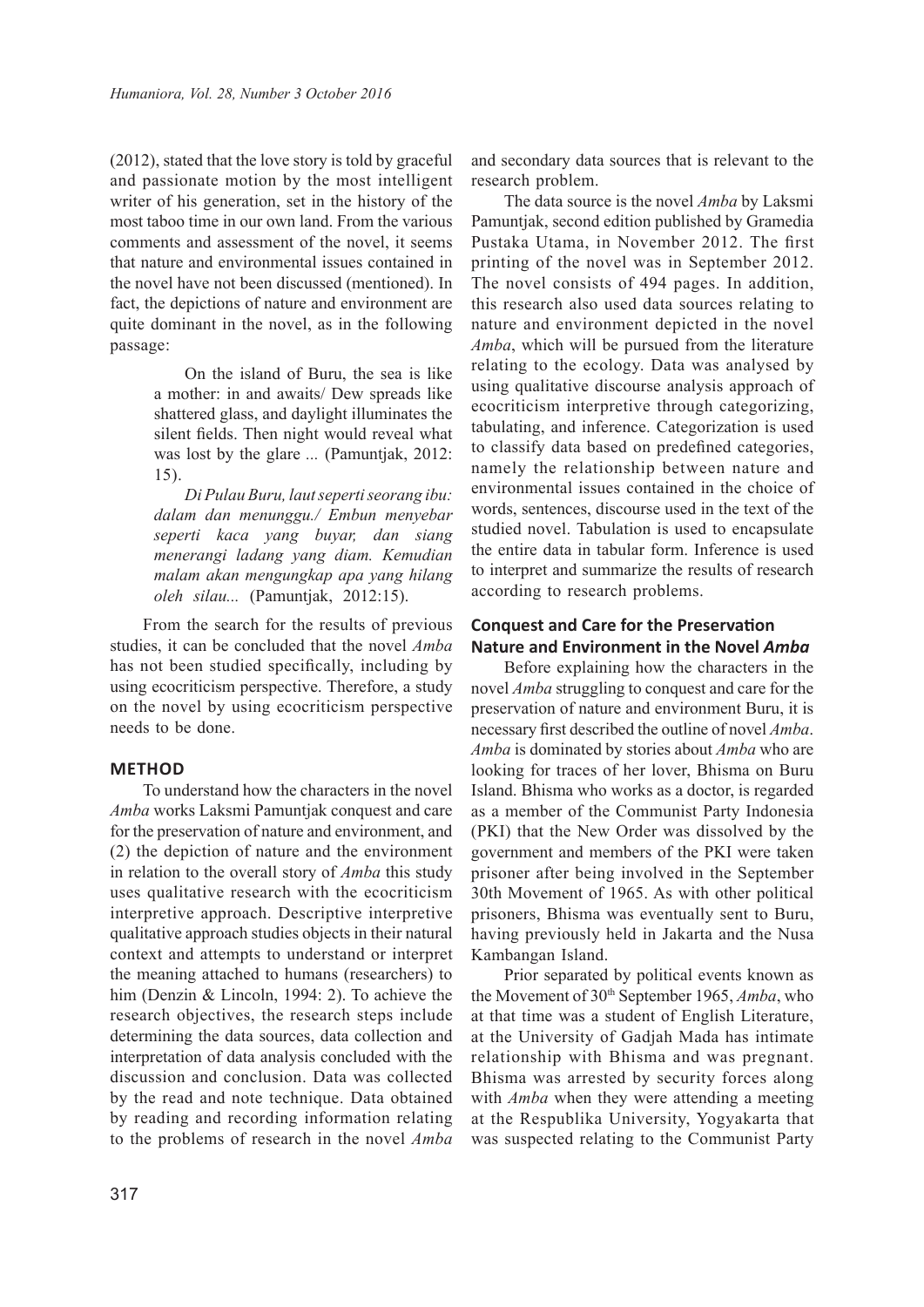(2012), stated that the love story is told by graceful and passionate motion by the most intelligent writer of his generation, set in the history of the most taboo time in our own land. From the various comments and assessment of the novel, it seems that nature and environmental issues contained in the novel have not been discussed (mentioned). In fact, the depictions of nature and environment are quite dominant in the novel, as in the following passage:

> On the island of Buru, the sea is like a mother: in and awaits/ Dew spreads like shattered glass, and daylight illuminates the silent fields. Then night would reveal what was lost by the glare *...* (Pamuntjak, 2012: 15).

> *Di Pulau Buru, laut seperti seorang ibu: dalam dan menunggu./ Embun menyebar seperti kaca yang buyar, dan siang menerangi ladang yang diam. Kemudian malam akan mengungkap apa yang hilang oleh silau...* (Pamuntjak, 2012:15).

From the search for the results of previous studies, it can be concluded that the novel *Amba* has not been studied specifically, including by using ecocriticism perspective. Therefore, a study on the novel by using ecocriticism perspective needs to be done.

### **METHOD**

To understand how the characters in the novel *Amba* works Laksmi Pamuntjak conquest and care for the preservation of nature and environment, and (2) the depiction of nature and the environment in relation to the overall story of *Amba* this study uses qualitative research with the ecocriticism interpretive approach. Descriptive interpretive qualitative approach studies objects in their natural context and attempts to understand or interpret the meaning attached to humans (researchers) to him (Denzin & Lincoln, 1994: 2). To achieve the research objectives, the research steps include determining the data sources, data collection and interpretation of data analysis concluded with the discussion and conclusion. Data was collected by the read and note technique. Data obtained by reading and recording information relating to the problems of research in the novel *Amba*

and secondary data sources that is relevant to the research problem.

The data source is the novel *Amba* by Laksmi Pamuntjak, second edition published by Gramedia Pustaka Utama, in November 2012. The first printing of the novel was in September 2012. The novel consists of 494 pages. In addition, this research also used data sources relating to nature and environment depicted in the novel *Amba*, which will be pursued from the literature relating to the ecology. Data was analysed by using qualitative discourse analysis approach of ecocriticism interpretive through categorizing, tabulating, and inference. Categorization is used to classify data based on predefined categories, namely the relationship between nature and environmental issues contained in the choice of words, sentences, discourse used in the text of the studied novel. Tabulation is used to encapsulate the entire data in tabular form. Inference is used to interpret and summarize the results of research according to research problems.

## **Conquest and Care for the Preservation Nature and Environment in the Novel** *Amba*

Before explaining how the characters in the novel *Amba* struggling to conquest and care for the preservation of nature and environment Buru, it is necessary first described the outline of novel *Amba*. *Amba* is dominated by stories about *Amba* who are looking for traces of her lover, Bhisma on Buru Island. Bhisma who works as a doctor, is regarded as a member of the Communist Party Indonesia (PKI) that the New Order was dissolved by the government and members of the PKI were taken prisoner after being involved in the September 30th Movement of 1965. As with other political prisoners, Bhisma was eventually sent to Buru, having previously held in Jakarta and the Nusa Kambangan Island.

Prior separated by political events known as the Movement of 30<sup>th</sup> September 1965, *Amba*, who at that time was a student of English Literature, at the University of Gadjah Mada has intimate relationship with Bhisma and was pregnant. Bhisma was arrested by security forces along with *Amba* when they were attending a meeting at the Respublika University, Yogyakarta that was suspected relating to the Communist Party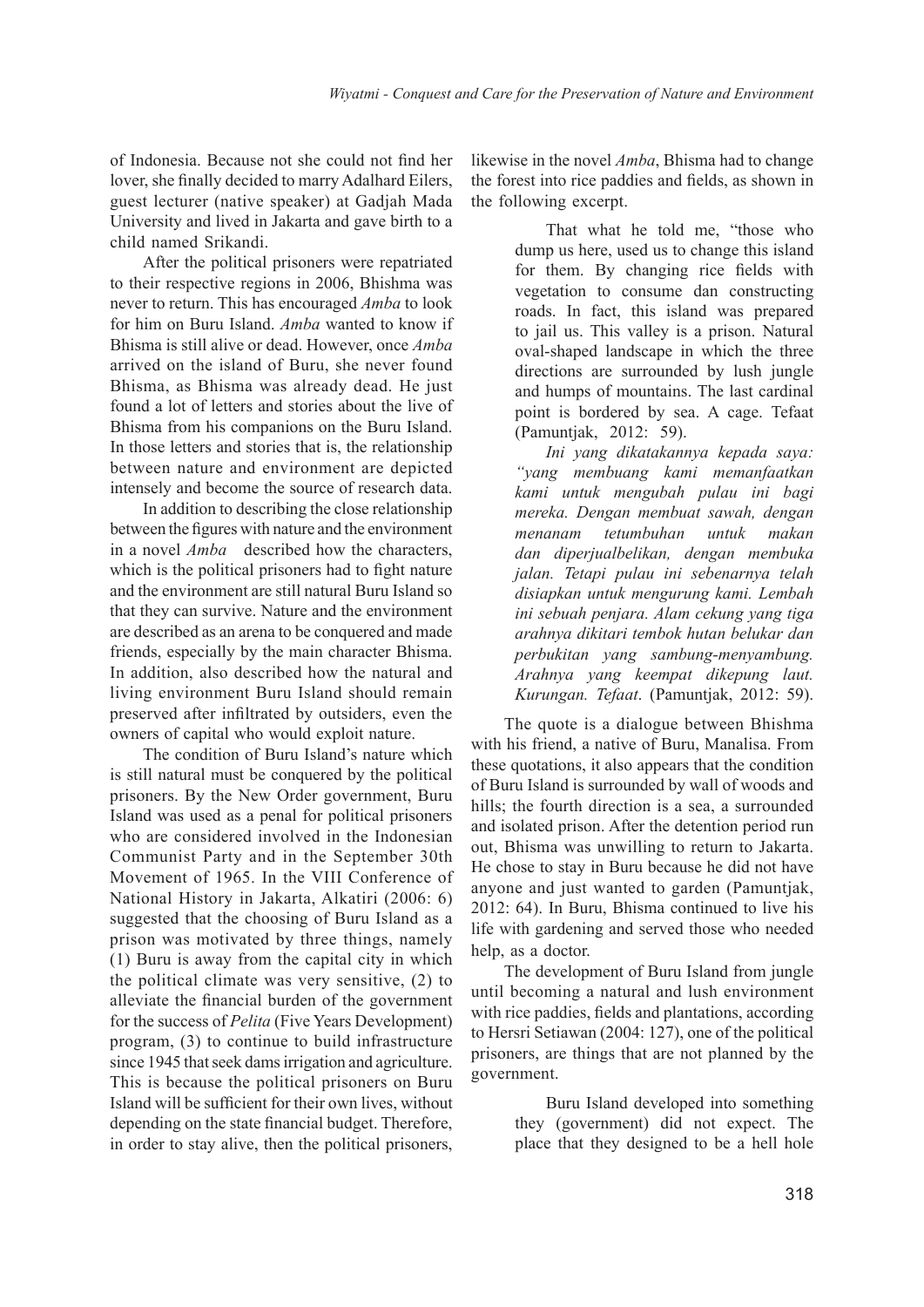of Indonesia. Because not she could not find her lover, she finally decided to marry Adalhard Eilers, guest lecturer (native speaker) at Gadjah Mada University and lived in Jakarta and gave birth to a child named Srikandi.

After the political prisoners were repatriated to their respective regions in 2006, Bhishma was never to return. This has encouraged *Amba* to look for him on Buru Island. *Amba* wanted to know if Bhisma is still alive or dead. However, once *Amba* arrived on the island of Buru, she never found Bhisma, as Bhisma was already dead. He just found a lot of letters and stories about the live of Bhisma from his companions on the Buru Island. In those letters and stories that is, the relationship between nature and environment are depicted intensely and become the source of research data.

In addition to describing the close relationship between the figures with nature and the environment in a novel *Amba* described how the characters, which is the political prisoners had to fight nature and the environment are still natural Buru Island so that they can survive. Nature and the environment are described as an arena to be conquered and made friends, especially by the main character Bhisma. In addition, also described how the natural and living environment Buru Island should remain preserved after infiltrated by outsiders, even the owners of capital who would exploit nature.

The condition of Buru Island's nature which is still natural must be conquered by the political prisoners. By the New Order government, Buru Island was used as a penal for political prisoners who are considered involved in the Indonesian Communist Party and in the September 30th Movement of 1965. In the VIII Conference of National History in Jakarta, Alkatiri (2006: 6) suggested that the choosing of Buru Island as a prison was motivated by three things, namely (1) Buru is away from the capital city in which the political climate was very sensitive, (2) to alleviate the financial burden of the government for the success of *Pelita* (Five Years Development) program, (3) to continue to build infrastructure since 1945 that seek dams irrigation and agriculture. This is because the political prisoners on Buru Island will be sufficient for their own lives, without depending on the state financial budget. Therefore, in order to stay alive, then the political prisoners,

likewise in the novel *Amba*, Bhisma had to change the forest into rice paddies and fields, as shown in the following excerpt.

> That what he told me, "those who dump us here, used us to change this island for them. By changing rice fields with vegetation to consume dan constructing roads. In fact, this island was prepared to jail us. This valley is a prison. Natural oval-shaped landscape in which the three directions are surrounded by lush jungle and humps of mountains. The last cardinal point is bordered by sea. A cage. Tefaat (Pamuntjak, 2012: 59).

> *Ini yang dikatakannya kepada saya: "yang membuang kami memanfaatkan kami untuk mengubah pulau ini bagi mereka. Dengan membuat sawah, dengan menanam tetumbuhan untuk makan dan diperjualbelikan, dengan membuka jalan. Tetapi pulau ini sebenarnya telah disiapkan untuk mengurung kami. Lembah ini sebuah penjara. Alam cekung yang tiga arahnya dikitari tembok hutan belukar dan perbukitan yang sambung-menyambung. Arahnya yang keempat dikepung laut. Kurungan. Tefaat*. (Pamuntjak, 2012: 59).

The quote is a dialogue between Bhishma with his friend, a native of Buru, Manalisa. From these quotations, it also appears that the condition of Buru Island is surrounded by wall of woods and hills; the fourth direction is a sea, a surrounded and isolated prison. After the detention period run out, Bhisma was unwilling to return to Jakarta. He chose to stay in Buru because he did not have anyone and just wanted to garden (Pamuntjak, 2012: 64). In Buru, Bhisma continued to live his life with gardening and served those who needed help, as a doctor.

The development of Buru Island from jungle until becoming a natural and lush environment with rice paddies, fields and plantations, according to Hersri Setiawan (2004: 127), one of the political prisoners, are things that are not planned by the government.

> Buru Island developed into something they (government) did not expect. The place that they designed to be a hell hole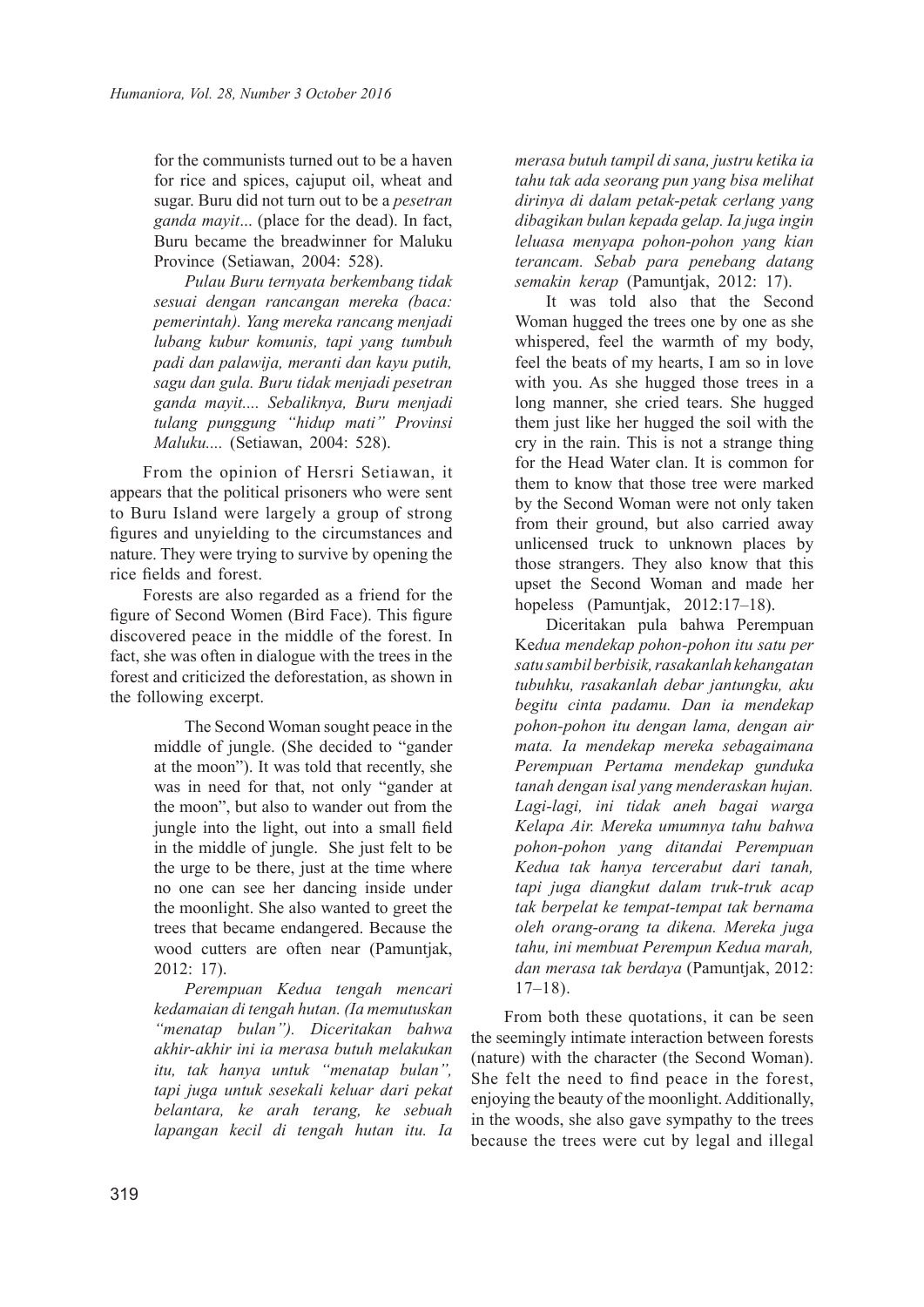for the communists turned out to be a haven for rice and spices, cajuput oil, wheat and sugar. Buru did not turn out to be a *pesetran ganda mayit*... (place for the dead). In fact, Buru became the breadwinner for Maluku Province (Setiawan, 2004: 528).

*Pulau Buru ternyata berkembang tidak sesuai dengan rancangan mereka (baca: pemerintah). Yang mereka rancang menjadi lubang kubur komunis, tapi yang tumbuh padi dan palawija, meranti dan kayu putih, sagu dan gula. Buru tidak menjadi pesetran ganda mayit.... Sebaliknya, Buru menjadi tulang punggung "hidup mati" Provinsi Maluku....* (Setiawan, 2004: 528).

From the opinion of Hersri Setiawan, it appears that the political prisoners who were sent to Buru Island were largely a group of strong figures and unyielding to the circumstances and nature. They were trying to survive by opening the rice fields and forest.

Forests are also regarded as a friend for the figure of Second Women (Bird Face). This figure discovered peace in the middle of the forest. In fact, she was often in dialogue with the trees in the forest and criticized the deforestation, as shown in the following excerpt.

> The Second Woman sought peace in the middle of jungle. (She decided to "gander at the moon"). It was told that recently, she was in need for that, not only "gander at the moon", but also to wander out from the jungle into the light, out into a small field in the middle of jungle. She just felt to be the urge to be there, just at the time where no one can see her dancing inside under the moonlight. She also wanted to greet the trees that became endangered. Because the wood cutters are often near (Pamuntjak, 2012: 17).

> *Perempuan Kedua tengah mencari kedamaian di tengah hutan. (Ia memutuskan "menatap bulan"). Diceritakan bahwa akhir-akhir ini ia merasa butuh melakukan itu, tak hanya untuk "menatap bulan", tapi juga untuk sesekali keluar dari pekat belantara, ke arah terang, ke sebuah lapangan kecil di tengah hutan itu. Ia*

*merasa butuh tampil di sana, justru ketika ia tahu tak ada seorang pun yang bisa melihat dirinya di dalam petak-petak cerlang yang dibagikan bulan kepada gelap. Ia juga ingin leluasa menyapa pohon-pohon yang kian terancam. Sebab para penebang datang semakin kerap* (Pamuntjak, 2012: 17).

It was told also that the Second Woman hugged the trees one by one as she whispered, feel the warmth of my body, feel the beats of my hearts, I am so in love with you. As she hugged those trees in a long manner, she cried tears. She hugged them just like her hugged the soil with the cry in the rain. This is not a strange thing for the Head Water clan. It is common for them to know that those tree were marked by the Second Woman were not only taken from their ground, but also carried away unlicensed truck to unknown places by those strangers. They also know that this upset the Second Woman and made her hopeless (Pamuntjak, 2012:17–18).

Diceritakan pula bahwa Perempuan Ke*dua mendekap pohon-pohon itu satu per satu sambil berbisik, rasakanlah kehangatan tubuhku, rasakanlah debar jantungku, aku begitu cinta padamu. Dan ia mendekap pohon-pohon itu dengan lama, dengan air mata. Ia mendekap mereka sebagaimana Perempuan Pertama mendekap gunduka tanah dengan isal yang menderaskan hujan. Lagi-lagi, ini tidak aneh bagai warga Kelapa Air. Mereka umumnya tahu bahwa pohon-pohon yang ditandai Perempuan Kedua tak hanya tercerabut dari tanah, tapi juga diangkut dalam truk-truk acap tak berpelat ke tempat-tempat tak bernama oleh orang-orang ta dikena. Mereka juga tahu, ini membuat Perempun Kedua marah, dan merasa tak berdaya* (Pamuntjak, 2012: 17–18).

From both these quotations, it can be seen the seemingly intimate interaction between forests (nature) with the character (the Second Woman). She felt the need to find peace in the forest, enjoying the beauty of the moonlight. Additionally, in the woods, she also gave sympathy to the trees because the trees were cut by legal and illegal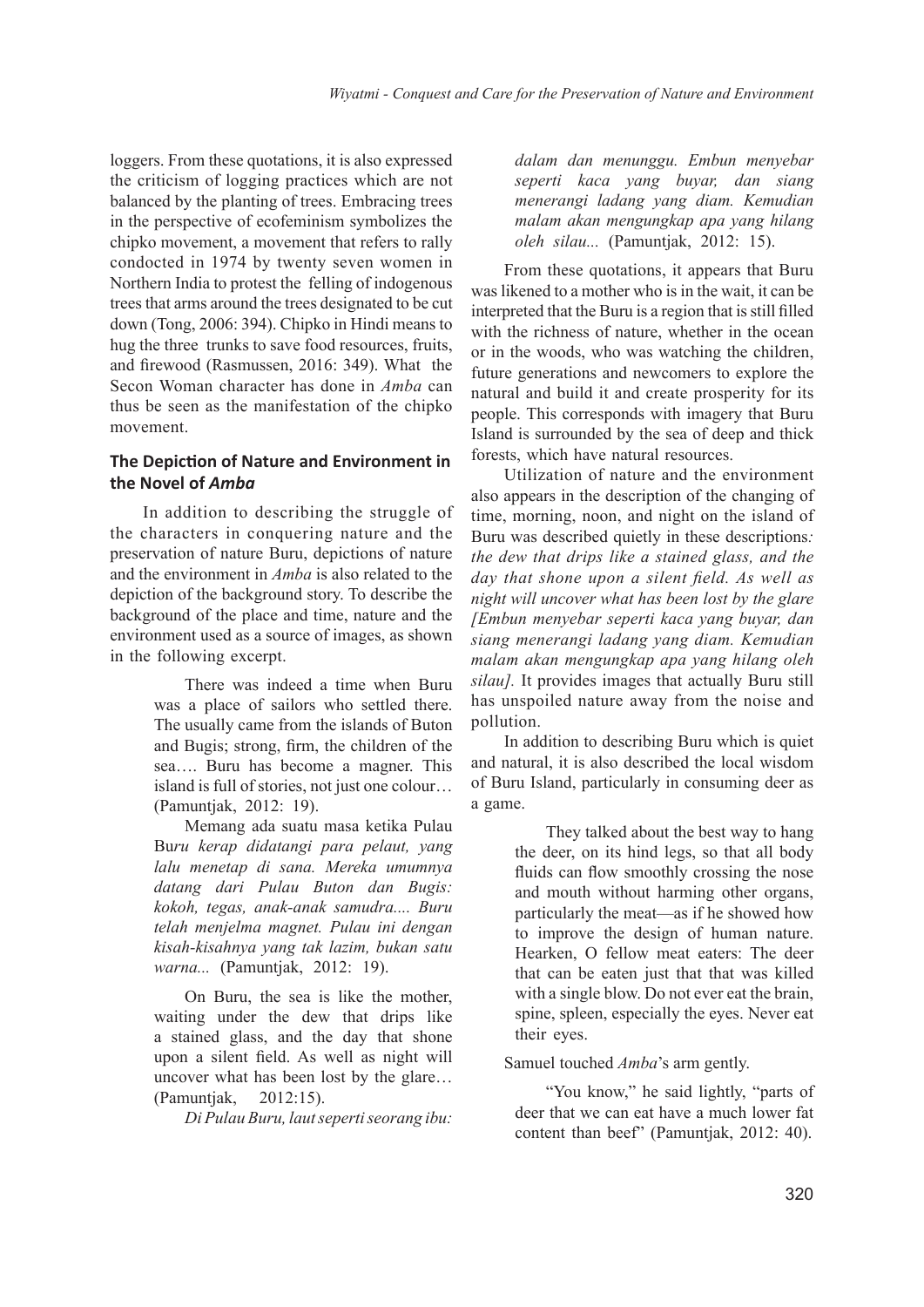loggers. From these quotations, it is also expressed the criticism of logging practices which are not balanced by the planting of trees. Embracing trees in the perspective of ecofeminism symbolizes the chipko movement, a movement that refers to rally condocted in 1974 by twenty seven women in Northern India to protest the felling of indogenous trees that arms around the trees designated to be cut down (Tong, 2006: 394). Chipko in Hindi means to hug the three trunks to save food resources, fruits, and firewood (Rasmussen, 2016: 349). What the Secon Woman character has done in *Amba* can thus be seen as the manifestation of the chipko movement.

## **The Depiction of Nature and Environment in the Novel of** *Amba*

In addition to describing the struggle of the characters in conquering nature and the preservation of nature Buru, depictions of nature and the environment in *Amba* is also related to the depiction of the background story. To describe the background of the place and time, nature and the environment used as a source of images, as shown in the following excerpt.

> There was indeed a time when Buru was a place of sailors who settled there. The usually came from the islands of Buton and Bugis; strong, firm, the children of the sea…. Buru has become a magner. This island is full of stories, not just one colour… (Pamuntjak, 2012: 19).

> Memang ada suatu masa ketika Pulau Bu*ru kerap didatangi para pelaut, yang lalu menetap di sana. Mereka umumnya datang dari Pulau Buton dan Bugis: kokoh, tegas, anak-anak samudra.... Buru telah menjelma magnet. Pulau ini dengan kisah-kisahnya yang tak lazim, bukan satu warna...* (Pamuntjak, 2012: 19).

> On Buru, the sea is like the mother, waiting under the dew that drips like a stained glass, and the day that shone upon a silent field. As well as night will uncover what has been lost by the glare… (Pamuntjak, 2012:15).

> > *Di Pulau Buru, laut seperti seorang ibu:*

*dalam dan menunggu. Embun menyebar seperti kaca yang buyar, dan siang menerangi ladang yang diam. Kemudian malam akan mengungkap apa yang hilang oleh silau...* (Pamuntjak, 2012: 15).

From these quotations, it appears that Buru was likened to a mother who is in the wait, it can be interpreted that the Buru is a region that is still filled with the richness of nature, whether in the ocean or in the woods, who was watching the children, future generations and newcomers to explore the natural and build it and create prosperity for its people. This corresponds with imagery that Buru Island is surrounded by the sea of deep and thick forests, which have natural resources.

Utilization of nature and the environment also appears in the description of the changing of time, morning, noon, and night on the island of Buru was described quietly in these descriptions*: the dew that drips like a stained glass, and the day that shone upon a silent field. As well as night will uncover what has been lost by the glare [Embun menyebar seperti kaca yang buyar, dan siang menerangi ladang yang diam. Kemudian malam akan mengungkap apa yang hilang oleh silau].* It provides images that actually Buru still has unspoiled nature away from the noise and pollution.

In addition to describing Buru which is quiet and natural, it is also described the local wisdom of Buru Island, particularly in consuming deer as a game.

> They talked about the best way to hang the deer, on its hind legs, so that all body fluids can flow smoothly crossing the nose and mouth without harming other organs, particularly the meat—as if he showed how to improve the design of human nature. Hearken, O fellow meat eaters: The deer that can be eaten just that that was killed with a single blow. Do not ever eat the brain, spine, spleen, especially the eyes. Never eat their eyes.

Samuel touched *Amba*'s arm gently.

"You know," he said lightly, "parts of deer that we can eat have a much lower fat content than beef" (Pamuntjak, 2012: 40).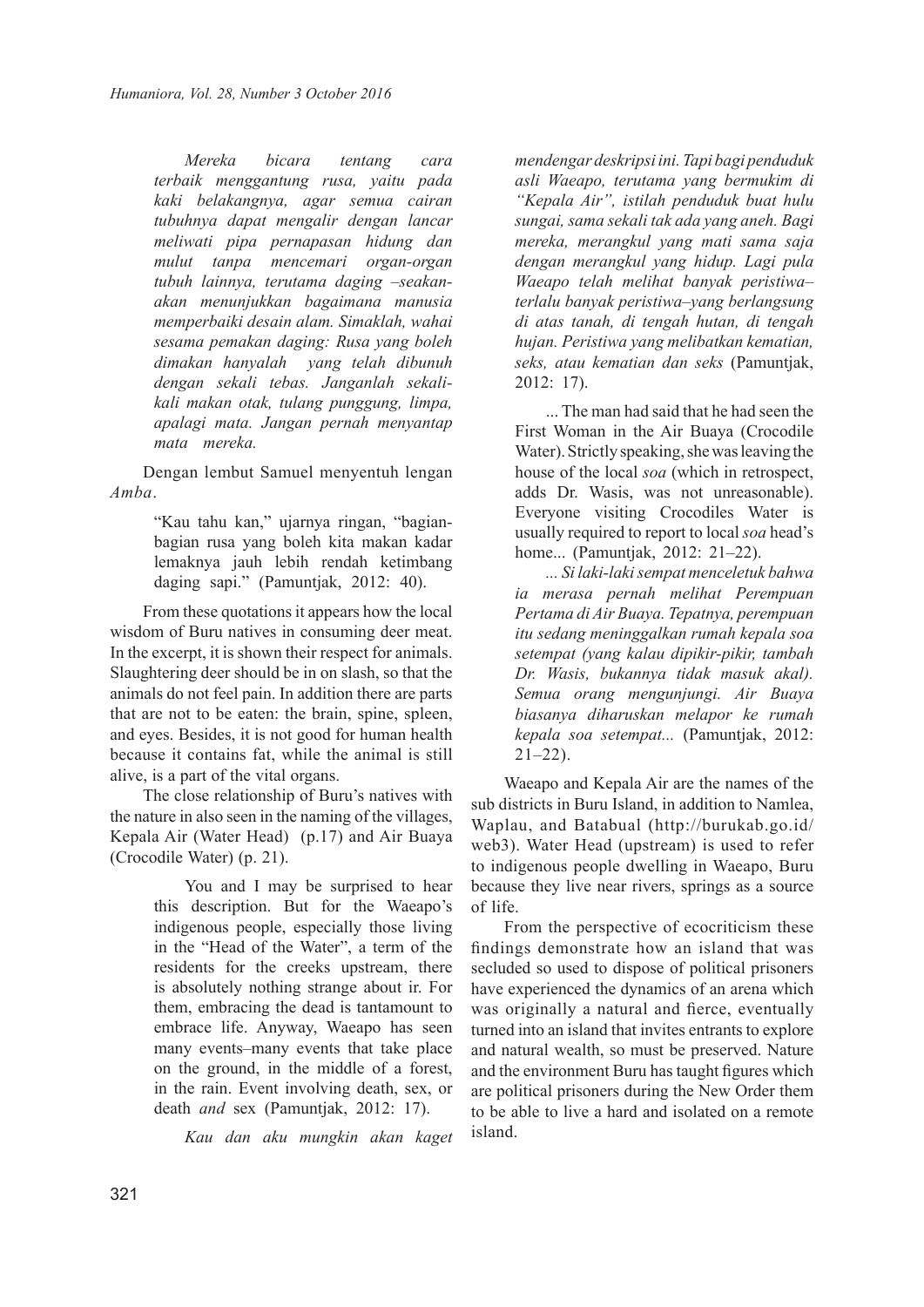*Mereka bicara tentang cara terbaik menggantung rusa, yaitu pada kaki belakangnya, agar semua cairan tubuhnya dapat mengalir dengan lancar meliwati pipa pernapasan hidung dan mulut tanpa mencemari organ-organ tubuh lainnya, terutama daging –seakanakan menunjukkan bagaimana manusia memperbaiki desain alam. Simaklah, wahai sesama pemakan daging: Rusa yang boleh dimakan hanyalah yang telah dibunuh dengan sekali tebas. Janganlah sekalikali makan otak, tulang punggung, limpa, apalagi mata. Jangan pernah menyantap mata mereka.* 

Dengan lembut Samuel menyentuh lengan *Amba*.

> "Kau tahu kan," ujarnya ringan, "bagianbagian rusa yang boleh kita makan kadar lemaknya jauh lebih rendah ketimbang daging sapi." (Pamuntjak, 2012: 40).

From these quotations it appears how the local wisdom of Buru natives in consuming deer meat. In the excerpt, it is shown their respect for animals. Slaughtering deer should be in on slash, so that the animals do not feel pain. In addition there are parts that are not to be eaten: the brain, spine, spleen, and eyes. Besides, it is not good for human health because it contains fat, while the animal is still alive, is a part of the vital organs.

The close relationship of Buru's natives with the nature in also seen in the naming of the villages, Kepala Air (Water Head) (p.17) and Air Buaya (Crocodile Water) (p. 21).

> You and I may be surprised to hear this description. But for the Waeapo's indigenous people, especially those living in the "Head of the Water", a term of the residents for the creeks upstream, there is absolutely nothing strange about ir. For them, embracing the dead is tantamount to embrace life. Anyway, Waeapo has seen many events–many events that take place on the ground, in the middle of a forest, in the rain. Event involving death, sex, or death *and* sex (Pamuntjak, 2012: 17).

*Kau dan aku mungkin akan kaget* 

*mendengar deskripsi ini. Tapi bagi penduduk asli Waeapo, terutama yang bermukim di "Kepala Air", istilah penduduk buat hulu sungai, sama sekali tak ada yang aneh. Bagi mereka, merangkul yang mati sama saja dengan merangkul yang hidup. Lagi pula Waeapo telah melihat banyak peristiwa– terlalu banyak peristiwa–yang berlangsung di atas tanah, di tengah hutan, di tengah hujan. Peristiwa yang melibatkan kematian, seks, atau kematian dan seks* (Pamuntjak, 2012: 17).

... The man had said that he had seen the First Woman in the Air Buaya (Crocodile Water). Strictly speaking, she was leaving the house of the local *soa* (which in retrospect, adds Dr. Wasis, was not unreasonable). Everyone visiting Crocodiles Water is usually required to report to local *soa* head's home... (Pamuntjak, 2012: 21–22).

*... Si laki-laki sempat menceletuk bahwa ia merasa pernah melihat Perempuan Pertama di Air Buaya. Tepatnya, perempuan itu sedang meninggalkan rumah kepala soa setempat (yang kalau dipikir-pikir, tambah Dr. Wasis, bukannya tidak masuk akal). Semua orang mengunjungi. Air Buaya biasanya diharuskan melapor ke rumah kepala soa setempat...* (Pamuntjak, 2012:  $21-22$ ).

Waeapo and Kepala Air are the names of the sub districts in Buru Island, in addition to Namlea, Waplau, and Batabual (http://burukab.go.id/ web3). Water Head (upstream) is used to refer to indigenous people dwelling in Waeapo, Buru because they live near rivers, springs as a source of life.

From the perspective of ecocriticism these findings demonstrate how an island that was secluded so used to dispose of political prisoners have experienced the dynamics of an arena which was originally a natural and fierce, eventually turned into an island that invites entrants to explore and natural wealth, so must be preserved. Nature and the environment Buru has taught figures which are political prisoners during the New Order them to be able to live a hard and isolated on a remote island.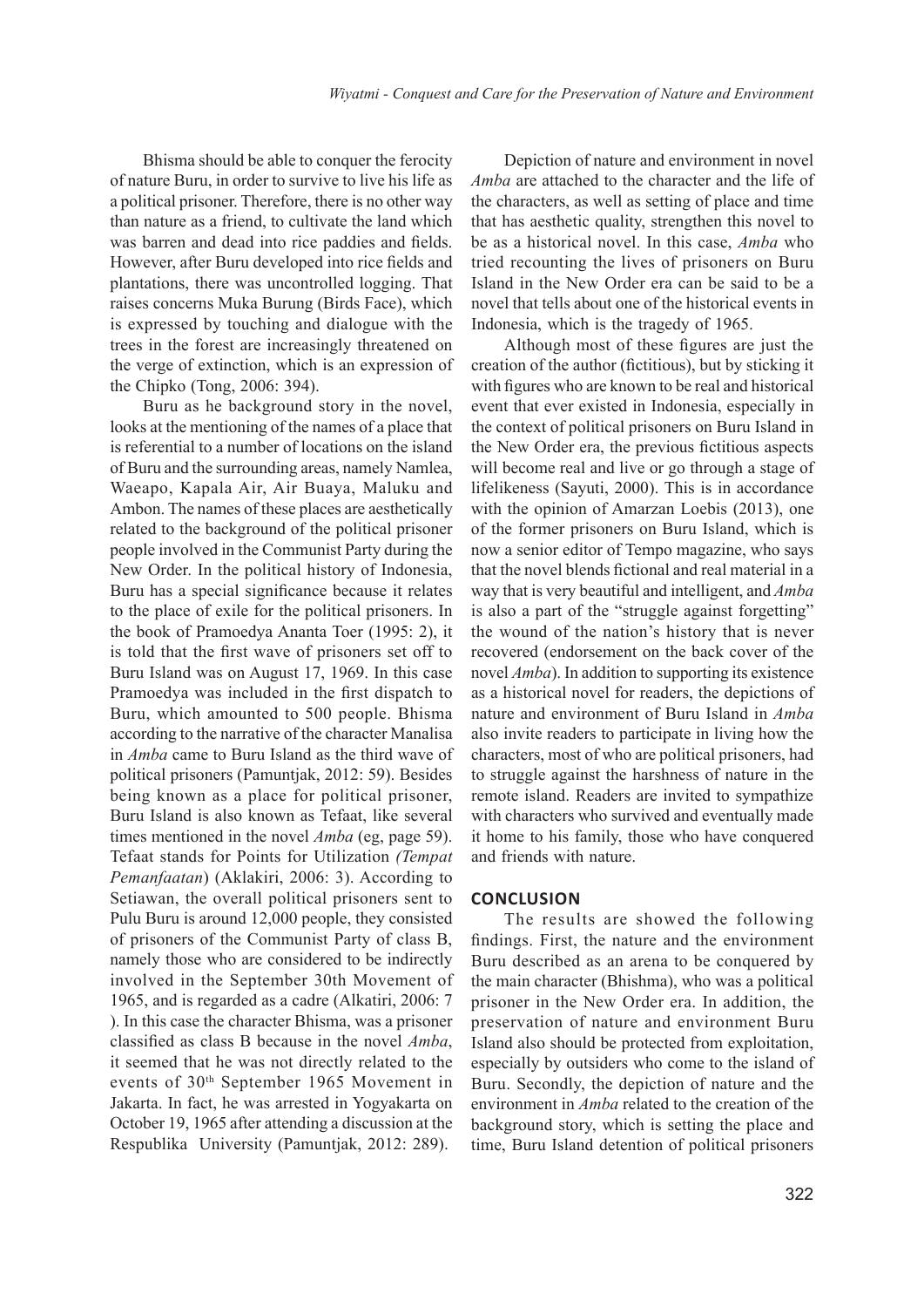Bhisma should be able to conquer the ferocity of nature Buru, in order to survive to live his life as a political prisoner. Therefore, there is no other way than nature as a friend, to cultivate the land which was barren and dead into rice paddies and fields. However, after Buru developed into rice fields and plantations, there was uncontrolled logging. That raises concerns Muka Burung (Birds Face), which is expressed by touching and dialogue with the trees in the forest are increasingly threatened on the verge of extinction, which is an expression of the Chipko (Tong, 2006: 394).

Buru as he background story in the novel, looks at the mentioning of the names of a place that is referential to a number of locations on the island of Buru and the surrounding areas, namely Namlea, Waeapo, Kapala Air, Air Buaya, Maluku and Ambon. The names of these places are aesthetically related to the background of the political prisoner people involved in the Communist Party during the New Order. In the political history of Indonesia, Buru has a special significance because it relates to the place of exile for the political prisoners. In the book of Pramoedya Ananta Toer (1995: 2), it is told that the first wave of prisoners set off to Buru Island was on August 17, 1969. In this case Pramoedya was included in the first dispatch to Buru, which amounted to 500 people. Bhisma according to the narrative of the character Manalisa in *Amba* came to Buru Island as the third wave of political prisoners (Pamuntjak, 2012: 59). Besides being known as a place for political prisoner, Buru Island is also known as Tefaat, like several times mentioned in the novel *Amba* (eg, page 59). Tefaat stands for Points for Utilization *(Tempat Pemanfaatan*) (Aklakiri, 2006: 3). According to Setiawan, the overall political prisoners sent to Pulu Buru is around 12,000 people, they consisted of prisoners of the Communist Party of class B, namely those who are considered to be indirectly involved in the September 30th Movement of 1965, and is regarded as a cadre (Alkatiri, 2006: 7 ). In this case the character Bhisma, was a prisoner classified as class B because in the novel *Amba*, it seemed that he was not directly related to the events of 30th September 1965 Movement in Jakarta. In fact, he was arrested in Yogyakarta on October 19, 1965 after attending a discussion at the Respublika University (Pamuntjak, 2012: 289).

Depiction of nature and environment in novel *Amba* are attached to the character and the life of the characters, as well as setting of place and time that has aesthetic quality, strengthen this novel to be as a historical novel. In this case, *Amba* who tried recounting the lives of prisoners on Buru Island in the New Order era can be said to be a novel that tells about one of the historical events in Indonesia, which is the tragedy of 1965.

Although most of these figures are just the creation of the author (fictitious), but by sticking it with figures who are known to be real and historical event that ever existed in Indonesia, especially in the context of political prisoners on Buru Island in the New Order era, the previous fictitious aspects will become real and live or go through a stage of lifelikeness (Sayuti, 2000). This is in accordance with the opinion of Amarzan Loebis (2013), one of the former prisoners on Buru Island, which is now a senior editor of Tempo magazine, who says that the novel blends fictional and real material in a way that is very beautiful and intelligent, and *Amba* is also a part of the "struggle against forgetting" the wound of the nation's history that is never recovered (endorsement on the back cover of the novel *Amba*). In addition to supporting its existence as a historical novel for readers, the depictions of nature and environment of Buru Island in *Amba* also invite readers to participate in living how the characters, most of who are political prisoners, had to struggle against the harshness of nature in the remote island. Readers are invited to sympathize with characters who survived and eventually made it home to his family, those who have conquered and friends with nature.

#### **CONCLUSION**

The results are showed the following findings. First, the nature and the environment Buru described as an arena to be conquered by the main character (Bhishma), who was a political prisoner in the New Order era. In addition, the preservation of nature and environment Buru Island also should be protected from exploitation, especially by outsiders who come to the island of Buru. Secondly, the depiction of nature and the environment in *Amba* related to the creation of the background story, which is setting the place and time, Buru Island detention of political prisoners